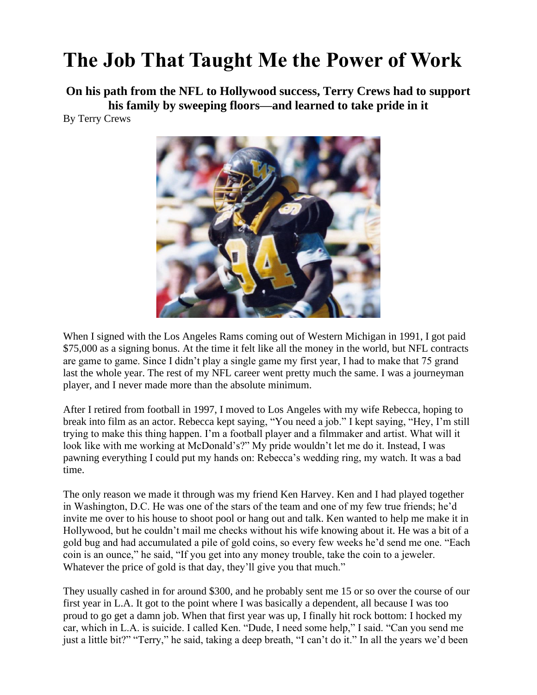## **The Job That Taught Me the Power of Work**

**On his path from the NFL to Hollywood success, Terry Crews had to support his family by sweeping floors—and learned to take pride in it**

By Terry Crews



When I signed with the Los Angeles Rams coming out of Western Michigan in 1991, I got paid \$75,000 as a signing bonus. At the time it felt like all the money in the world, but NFL contracts are game to game. Since I didn't play a single game my first year, I had to make that 75 grand last the whole year. The rest of my NFL career went pretty much the same. I was a journeyman player, and I never made more than the absolute minimum.

After I retired from football in 1997, I moved to Los Angeles with my wife Rebecca, hoping to break into film as an actor. Rebecca kept saying, "You need a job." I kept saying, "Hey, I'm still trying to make this thing happen. I'm a football player and a filmmaker and artist. What will it look like with me working at McDonald's?" My pride wouldn't let me do it. Instead, I was pawning everything I could put my hands on: Rebecca's wedding ring, my watch. It was a bad time.

The only reason we made it through was my friend Ken Harvey. Ken and I had played together in Washington, D.C. He was one of the stars of the team and one of my few true friends; he'd invite me over to his house to shoot pool or hang out and talk. Ken wanted to help me make it in Hollywood, but he couldn't mail me checks without his wife knowing about it. He was a bit of a gold bug and had accumulated a pile of gold coins, so every few weeks he'd send me one. "Each coin is an ounce," he said, "If you get into any money trouble, take the coin to a jeweler. Whatever the price of gold is that day, they'll give you that much."

They usually cashed in for around \$300, and he probably sent me 15 or so over the course of our first year in L.A. It got to the point where I was basically a dependent, all because I was too proud to go get a damn job. When that first year was up, I finally hit rock bottom: I hocked my car, which in L.A. is suicide. I called Ken. "Dude, I need some help," I said. "Can you send me just a little bit?" "Terry," he said, taking a deep breath, "I can't do it." In all the years we'd been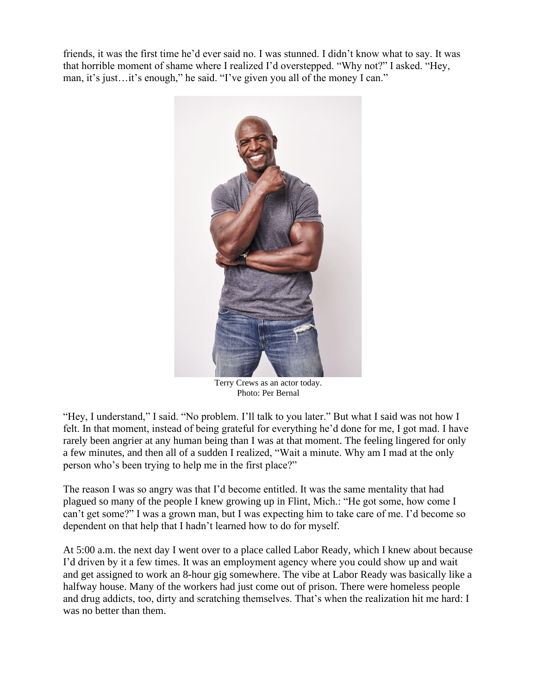friends, it was the first time he'd ever said no. I was stunned. I didn't know what to say. It was that horrible moment of shame where I realized I'd overstepped. "Why not?" I asked. "Hey, man, it's just…it's enough," he said. "I've given you all of the money I can."



Terry Crews as an actor today. Photo: Per Bernal

"Hey, I understand," I said. "No problem. I'll talk to you later." But what I said was not how I felt. In that moment, instead of being grateful for everything he'd done for me, I got mad. I have rarely been angrier at any human being than I was at that moment. The feeling lingered for only a few minutes, and then all of a sudden I realized, "Wait a minute. Why am I mad at the only person who's been trying to help me in the first place?"

The reason I was so angry was that I'd become entitled. It was the same mentality that had plagued so many of the people I knew growing up in Flint, Mich.: "He got some, how come I can't get some?" I was a grown man, but I was expecting him to take care of me. I'd become so dependent on that help that I hadn't learned how to do for myself.

At 5:00 a.m. the next day I went over to a place called Labor Ready, which I knew about because I'd driven by it a few times. It was an employment agency where you could show up and wait and get assigned to work an 8-hour gig somewhere. The vibe at Labor Ready was basically like a halfway house. Many of the workers had just come out of prison. There were homeless people and drug addicts, too, dirty and scratching themselves. That's when the realization hit me hard: I was no better than them.